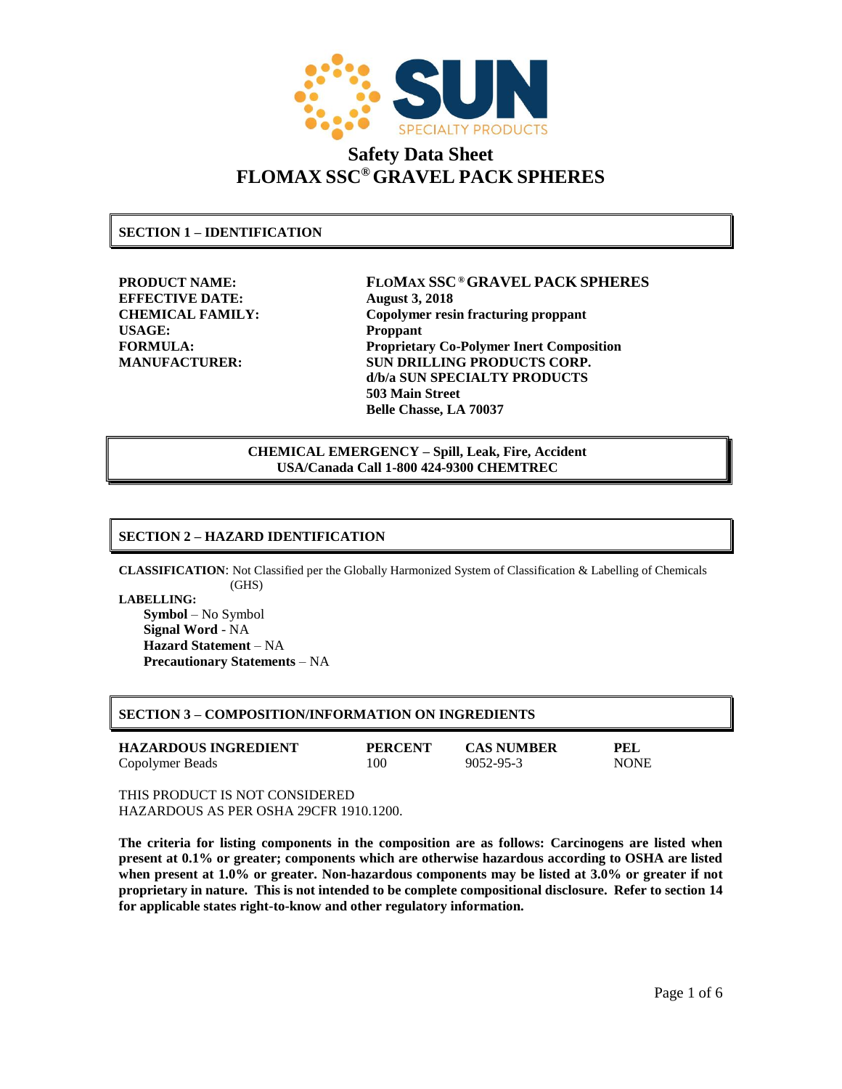

**SECTION 1 – IDENTIFICATION**

**EFFECTIVE DATE: August 3, 2018 USAGE: Proppant**

**PRODUCT NAME: FLOMAX SSC ®GRAVEL PACK SPHERES CHEMICAL FAMILY: Copolymer resin fracturing proppant FORMULA: Proprietary Co-Polymer Inert Composition MANUFACTURER: SUN DRILLING PRODUCTS CORP. d/b/a SUN SPECIALTY PRODUCTS 503 Main Street Belle Chasse, LA 70037**

> **CHEMICAL EMERGENCY – Spill, Leak, Fire, Accident USA/Canada Call 1-800 424-9300 CHEMTREC**

### **SECTION 2 – HAZARD IDENTIFICATION**

**CLASSIFICATION**: Not Classified per the Globally Harmonized System of Classification & Labelling of Chemicals (GHS)

**LABELLING: Symbol** – No Symbol **Signal Word** - NA **Hazard Statement** – NA **Precautionary Statements** – NA

| <b>SECTION 3 – COMPOSITION/INFORMATION ON INGREDIENTS</b> |  |
|-----------------------------------------------------------|--|
|                                                           |  |

| <b>HAZARDOUS INGREDIENT</b> | <b>PERCENT</b> | <b>CAS NUMBER</b> | PEL         |
|-----------------------------|----------------|-------------------|-------------|
| Copolymer Beads             | 100            | 9052-95-3         | <b>NONE</b> |

THIS PRODUCT IS NOT CONSIDERED HAZARDOUS AS PER OSHA 29CFR 1910.1200.

**The criteria for listing components in the composition are as follows: Carcinogens are listed when present at 0.1% or greater; components which are otherwise hazardous according to OSHA are listed when present at 1.0% or greater. Non-hazardous components may be listed at 3.0% or greater if not proprietary in nature. This is not intended to be complete compositional disclosure. Refer to section 14 for applicable states right-to-know and other regulatory information.**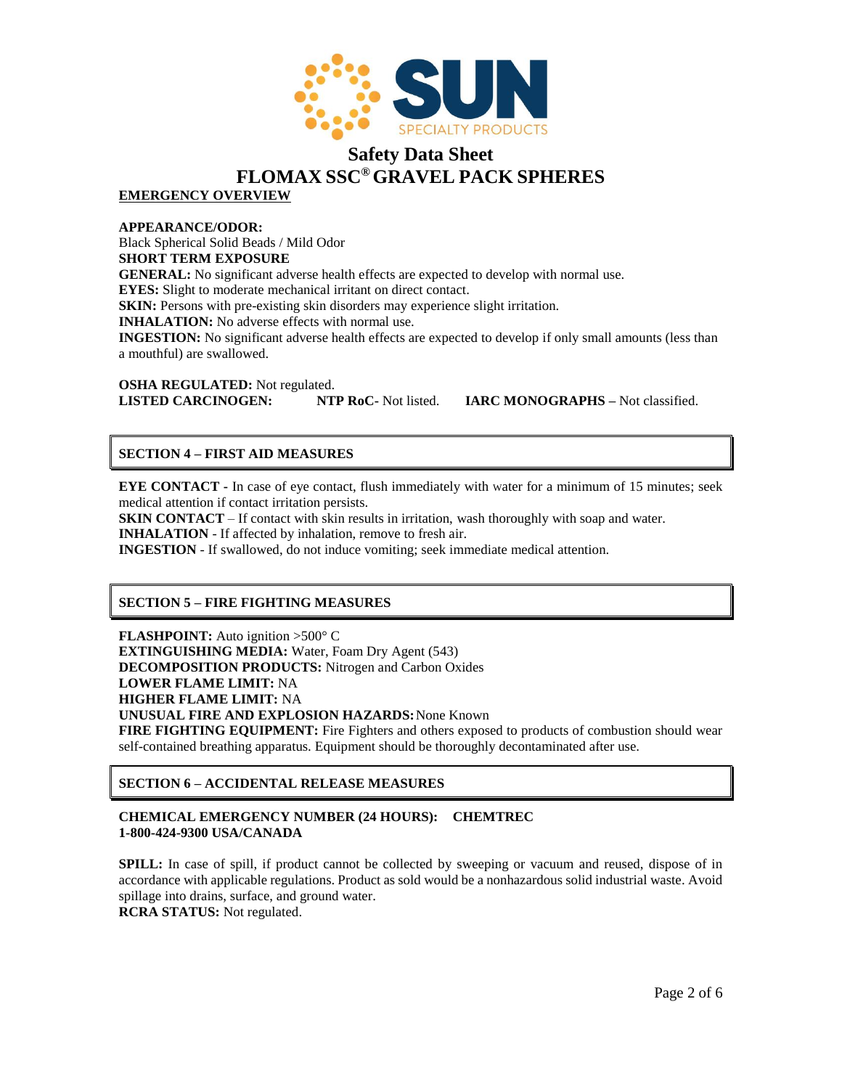

**EMERGENCY OVERVIEW**

**APPEARANCE/ODOR:** Black Spherical Solid Beads / Mild Odor **SHORT TERM EXPOSURE GENERAL:** No significant adverse health effects are expected to develop with normal use. **EYES:** Slight to moderate mechanical irritant on direct contact. **SKIN:** Persons with pre-existing skin disorders may experience slight irritation. **INHALATION:** No adverse effects with normal use. **INGESTION:** No significant adverse health effects are expected to develop if only small amounts (less than a mouthful) are swallowed.

**OSHA REGULATED:** Not regulated. **LISTED CARCINOGEN: NTP RoC-** Not listed. **IARC MONOGRAPHS –** Not classified.

### **SECTION 4 – FIRST AID MEASURES**

**EYE CONTACT** - In case of eye contact, flush immediately with water for a minimum of 15 minutes; seek medical attention if contact irritation persists.

**SKIN CONTACT** – If contact with skin results in irritation, wash thoroughly with soap and water. **INHALATION** - If affected by inhalation, remove to fresh air.

**INGESTION** - If swallowed, do not induce vomiting; seek immediate medical attention.

### **SECTION 5 – FIRE FIGHTING MEASURES**

**FLASHPOINT:** Auto ignition >500° C **EXTINGUISHING MEDIA:** Water, Foam Dry Agent (543) **DECOMPOSITION PRODUCTS:** Nitrogen and Carbon Oxides **LOWER FLAME LIMIT:** NA **HIGHER FLAME LIMIT:** NA **UNUSUAL FIRE AND EXPLOSION HAZARDS:**None Known **FIRE FIGHTING EQUIPMENT:** Fire Fighters and others exposed to products of combustion should wear self-contained breathing apparatus. Equipment should be thoroughly decontaminated after use.

### **SECTION 6 – ACCIDENTAL RELEASE MEASURES**

### **CHEMICAL EMERGENCY NUMBER (24 HOURS): CHEMTREC 1-800-424-9300 USA/CANADA**

**SPILL:** In case of spill, if product cannot be collected by sweeping or vacuum and reused, dispose of in accordance with applicable regulations. Product as sold would be a nonhazardous solid industrial waste. Avoid spillage into drains, surface, and ground water. **RCRA STATUS:** Not regulated.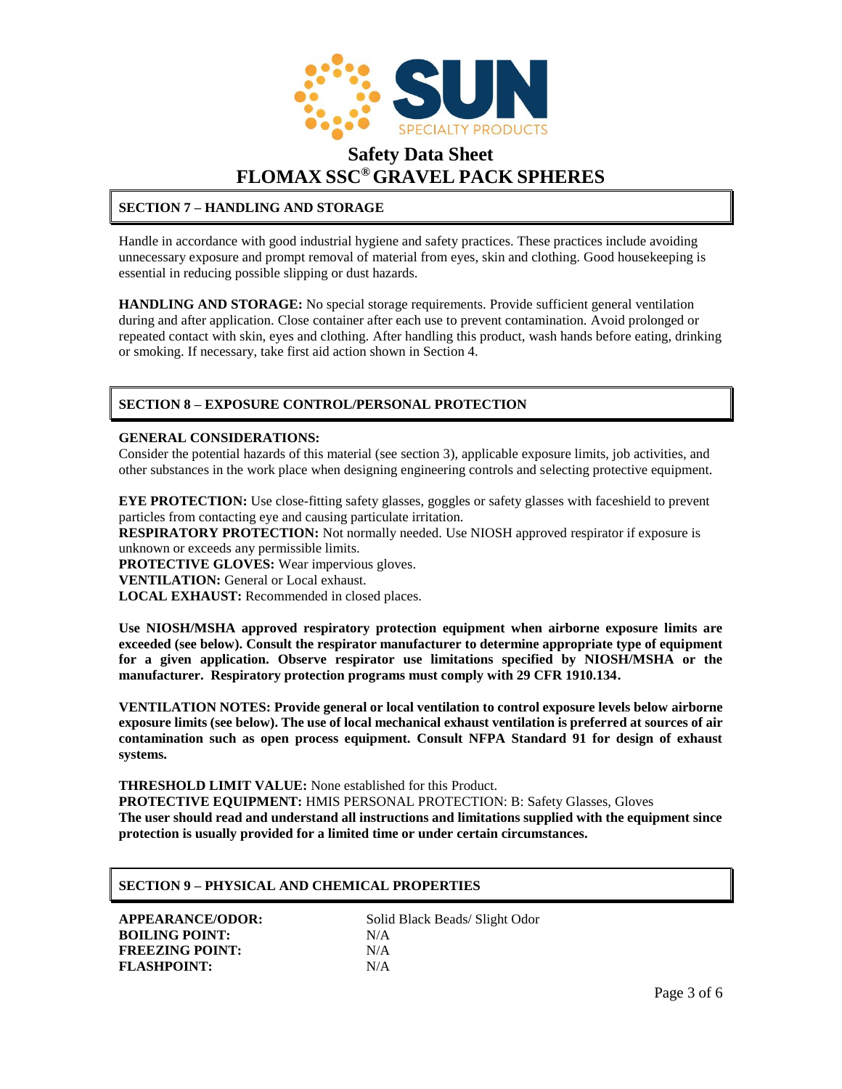

### **SECTION 7 – HANDLING AND STORAGE**

Handle in accordance with good industrial hygiene and safety practices. These practices include avoiding unnecessary exposure and prompt removal of material from eyes, skin and clothing. Good housekeeping is essential in reducing possible slipping or dust hazards.

**HANDLING AND STORAGE:** No special storage requirements. Provide sufficient general ventilation during and after application. Close container after each use to prevent contamination. Avoid prolonged or repeated contact with skin, eyes and clothing. After handling this product, wash hands before eating, drinking or smoking. If necessary, take first aid action shown in Section 4.

### **SECTION 8 – EXPOSURE CONTROL/PERSONAL PROTECTION**

### **GENERAL CONSIDERATIONS:**

Consider the potential hazards of this material (see section 3), applicable exposure limits, job activities, and other substances in the work place when designing engineering controls and selecting protective equipment.

**EYE PROTECTION:** Use close-fitting safety glasses, goggles or safety glasses with faceshield to prevent particles from contacting eye and causing particulate irritation.

**RESPIRATORY PROTECTION:** Not normally needed. Use NIOSH approved respirator if exposure is unknown or exceeds any permissible limits.

**PROTECTIVE GLOVES:** Wear impervious gloves.

**VENTILATION:** General or Local exhaust.

**LOCAL EXHAUST:** Recommended in closed places.

**Use NIOSH/MSHA approved respiratory protection equipment when airborne exposure limits are exceeded (see below). Consult the respirator manufacturer to determine appropriate type of equipment for a given application. Observe respirator use limitations specified by NIOSH/MSHA or the manufacturer. Respiratory protection programs must comply with 29 CFR 1910.134.**

**VENTILATION NOTES: Provide general or local ventilation to control exposure levels below airborne exposure limits (see below). The use of local mechanical exhaust ventilation is preferred at sources of air contamination such as open process equipment. Consult NFPA Standard 91 for design of exhaust systems.**

**THRESHOLD LIMIT VALUE:** None established for this Product.

**PROTECTIVE EQUIPMENT:** HMIS PERSONAL PROTECTION: B: Safety Glasses, Gloves **The user should read and understand all instructions and limitations supplied with the equipment since protection is usually provided for a limited time or under certain circumstances.**

### **SECTION 9 – PHYSICAL AND CHEMICAL PROPERTIES**

**BOILING POINT:** N/A **FREEZING POINT:** N/A FLASHPOINT: N/A

**APPEARANCE/ODOR:** Solid Black Beads/ Slight Odor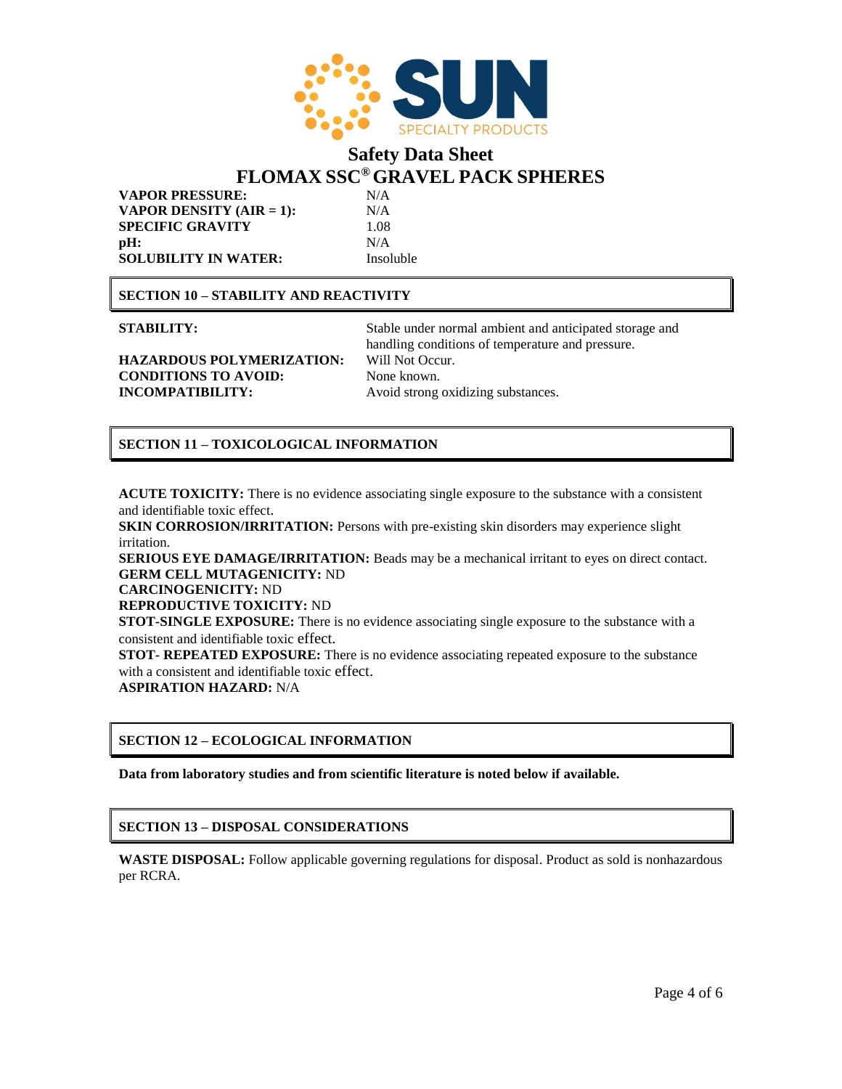

**VAPOR PRESSURE:** N/A **VAPOR DENSITY (AIR = 1):** N/A **SPECIFIC GRAVITY** 1.08 **pH:** N/A **SOLUBILITY IN WATER:** Insoluble

### **SECTION 10 – STABILITY AND REACTIVITY**

**STABILITY:** Stable under normal ambient and anticipated storage and handling conditions of temperature and pressure.

### **HAZARDOUS POLYMERIZATION:** Will Not Occur. **CONDITIONS TO AVOID:** None known. **INCOMPATIBILITY:** Avoid strong oxidizing substances.

### **SECTION 11 – TOXICOLOGICAL INFORMATION**

**ACUTE TOXICITY:** There is no evidence associating single exposure to the substance with a consistent and identifiable toxic effect.

**SKIN CORROSION/IRRITATION:** Persons with pre-existing skin disorders may experience slight irritation.

**SERIOUS EYE DAMAGE/IRRITATION:** Beads may be a mechanical irritant to eyes on direct contact. **GERM CELL MUTAGENICITY:** ND

**CARCINOGENICITY:** ND

**REPRODUCTIVE TOXICITY:** ND

**STOT-SINGLE EXPOSURE:** There is no evidence associating single exposure to the substance with a consistent and identifiable toxic effect.

**STOT- REPEATED EXPOSURE:** There is no evidence associating repeated exposure to the substance with a consistent and identifiable toxic effect.

**ASPIRATION HAZARD:** N/A

### **SECTION 12 – ECOLOGICAL INFORMATION**

**Data from laboratory studies and from scientific literature is noted below if available.**

### **SECTION 13 – DISPOSAL CONSIDERATIONS**

**WASTE DISPOSAL:** Follow applicable governing regulations for disposal. Product as sold is nonhazardous per RCRA.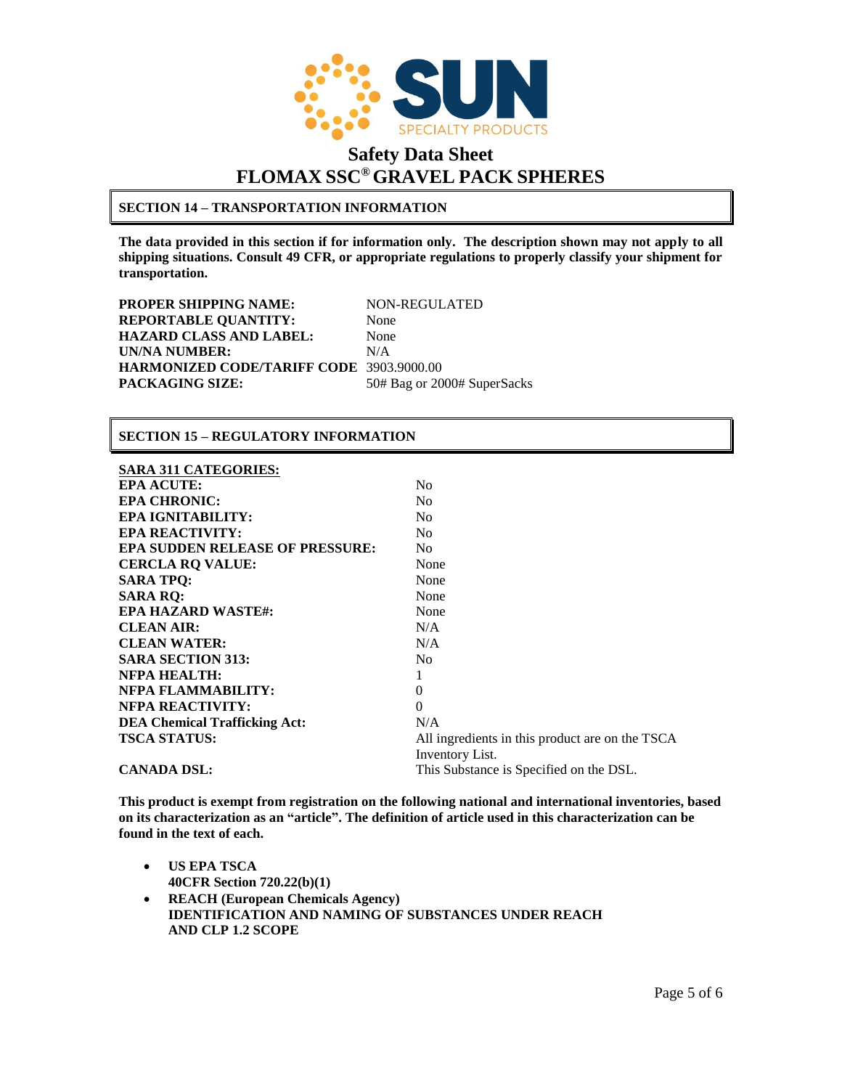

### **SECTION 14 – TRANSPORTATION INFORMATION**

**The data provided in this section if for information only. The description shown may not apply to all shipping situations. Consult 49 CFR, or appropriate regulations to properly classify your shipment for transportation.**

**PROPER SHIPPING NAME:** NON-REGULATED **REPORTABLE QUANTITY:** None **HAZARD CLASS AND LABEL:** None **UN/NA NUMBER:** N/A **HARMONIZED CODE/TARIFF CODE** 3903.9000.00 PACKAGING SIZE: 50# Bag or 2000# SuperSacks

### **SECTION 15 – REGULATORY INFORMATION**

### **SARA 311 CATEGORIES:**

| <b>EPA ACUTE:</b>                    | No                                              |
|--------------------------------------|-------------------------------------------------|
| <b>EPA CHRONIC:</b>                  | No                                              |
| EPA IGNITABILITY:                    | N <sub>0</sub>                                  |
| <b>EPA REACTIVITY:</b>               | N <sub>0</sub>                                  |
| EPA SUDDEN RELEASE OF PRESSURE:      | N <sub>0</sub>                                  |
| <b>CERCLA RQ VALUE:</b>              | None                                            |
| <b>SARA TPO:</b>                     | None                                            |
| <b>SARA RQ:</b>                      | None                                            |
| <b>EPA HAZARD WASTE#:</b>            | None                                            |
| <b>CLEAN AIR:</b>                    | N/A                                             |
| <b>CLEAN WATER:</b>                  | N/A                                             |
| <b>SARA SECTION 313:</b>             | N <sub>0</sub>                                  |
| <b>NFPA HEALTH:</b>                  |                                                 |
| NFPA FLAMMABILITY:                   | $\Omega$                                        |
| <b>NFPA REACTIVITY:</b>              | $\Omega$                                        |
| <b>DEA Chemical Trafficking Act:</b> | N/A                                             |
| <b>TSCA STATUS:</b>                  | All ingredients in this product are on the TSCA |
|                                      | Inventory List.                                 |
| <b>CANADA DSL:</b>                   | This Substance is Specified on the DSL.         |

**This product is exempt from registration on the following national and international inventories, based on its characterization as an "article". The definition of article used in this characterization can be found in the text of each.** 

- **US EPA TSCA 40CFR Section 720.22(b)(1) REACH (European Chemicals Agency) IDENTIFICATION AND NAMING OF SUBSTANCES UNDER REACH** 
	- **AND CLP 1.2 SCOPE**